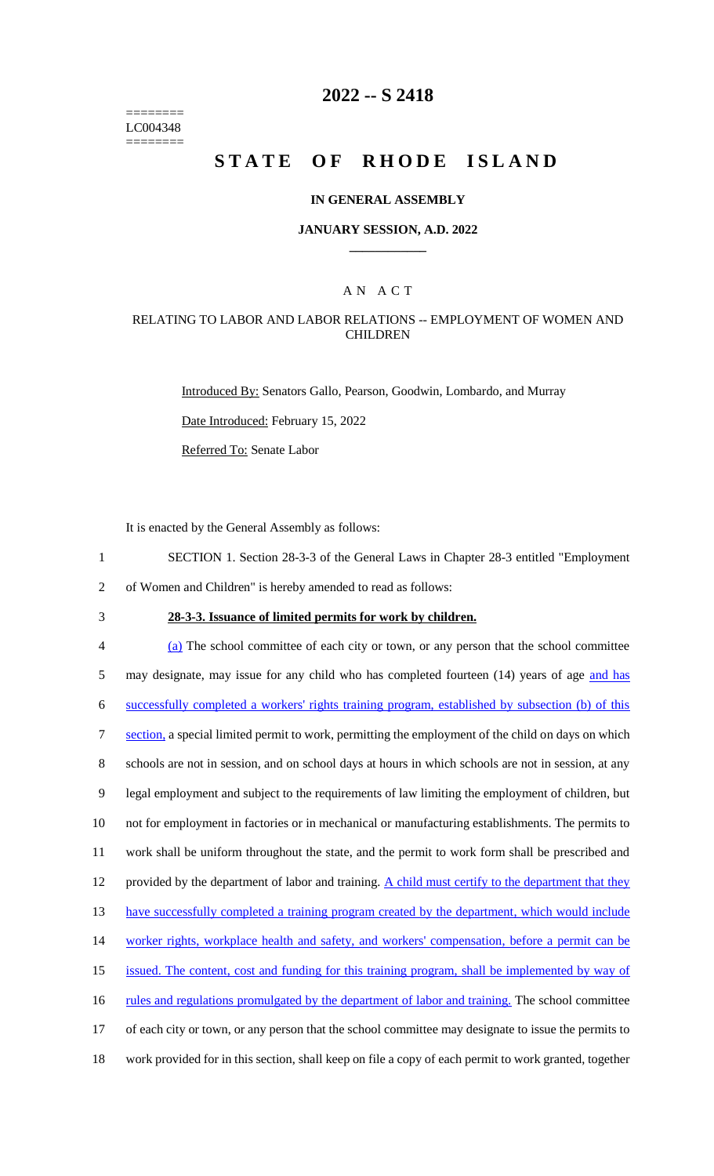======== LC004348 ========

## **2022 -- S 2418**

# **STATE OF RHODE ISLAND**

#### **IN GENERAL ASSEMBLY**

#### **JANUARY SESSION, A.D. 2022 \_\_\_\_\_\_\_\_\_\_\_\_**

### A N A C T

### RELATING TO LABOR AND LABOR RELATIONS -- EMPLOYMENT OF WOMEN AND **CHILDREN**

Introduced By: Senators Gallo, Pearson, Goodwin, Lombardo, and Murray

Date Introduced: February 15, 2022

Referred To: Senate Labor

It is enacted by the General Assembly as follows:

- 1 SECTION 1. Section 28-3-3 of the General Laws in Chapter 28-3 entitled "Employment
- 2 of Women and Children" is hereby amended to read as follows:
- 

## 3 **28-3-3. Issuance of limited permits for work by children.**

 (a) The school committee of each city or town, or any person that the school committee 5 may designate, may issue for any child who has completed fourteen (14) years of age and has successfully completed a workers' rights training program, established by subsection (b) of this 7 section, a special limited permit to work, permitting the employment of the child on days on which schools are not in session, and on school days at hours in which schools are not in session, at any legal employment and subject to the requirements of law limiting the employment of children, but not for employment in factories or in mechanical or manufacturing establishments. The permits to work shall be uniform throughout the state, and the permit to work form shall be prescribed and 12 provided by the department of labor and training. A child must certify to the department that they 13 have successfully completed a training program created by the department, which would include worker rights, workplace health and safety, and workers' compensation, before a permit can be issued. The content, cost and funding for this training program, shall be implemented by way of 16 rules and regulations promulgated by the department of labor and training. The school committee of each city or town, or any person that the school committee may designate to issue the permits to work provided for in this section, shall keep on file a copy of each permit to work granted, together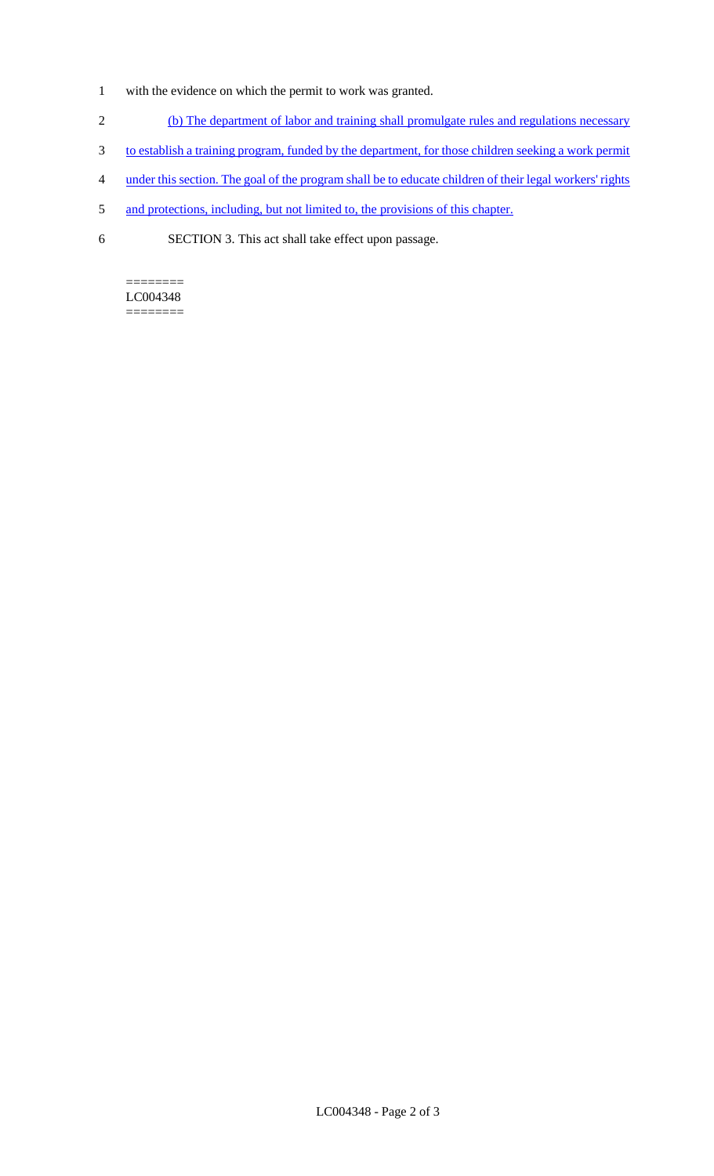- 1 with the evidence on which the permit to work was granted.
- 2 (b) The department of labor and training shall promulgate rules and regulations necessary
- 3 to establish a training program, funded by the department, for those children seeking a work permit
- 4 under this section. The goal of the program shall be to educate children of their legal workers' rights
- 5 and protections, including, but not limited to, the provisions of this chapter.
- 6 SECTION 3. This act shall take effect upon passage.

#### ======== LC004348

========